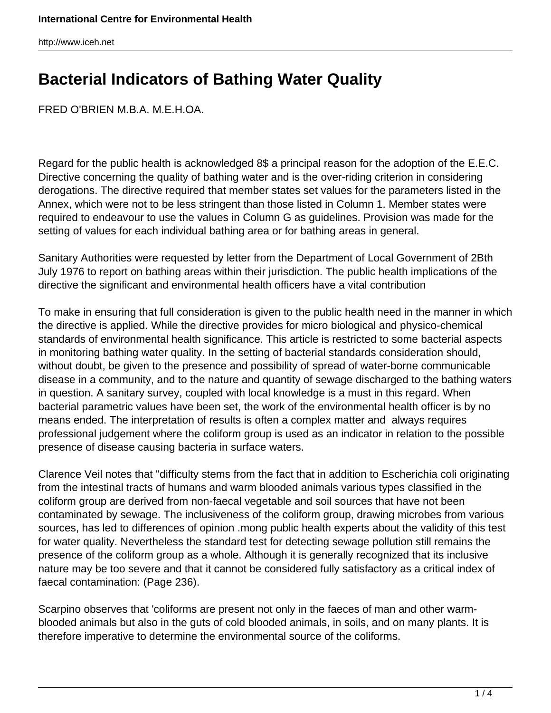## **Bacterial Indicators of Bathing Water Quality**

FRED O'BRIEN M.B.A. M.E.H.OA.

Regard for the public health is acknowledged 8\$ a principal reason for the adoption of the E.E.C. Directive concerning the quality of bathing water and is the over-riding criterion in considering derogations. The directive required that member states set values for the parameters listed in the Annex, which were not to be less stringent than those listed in Column 1. Member states were required to endeavour to use the values in Column G as guidelines. Provision was made for the setting of values for each individual bathing area or for bathing areas in general.

Sanitary Authorities were requested by letter from the Department of Local Government of 2Bth July 1976 to report on bathing areas within their jurisdiction. The public health implications of the directive the significant and environmental health officers have a vital contribution

To make in ensuring that full consideration is given to the public health need in the manner in which the directive is applied. While the directive provides for micro biological and physico-chemical standards of environmental health significance. This article is restricted to some bacterial aspects in monitoring bathing water quality. In the setting of bacterial standards consideration should, without doubt, be given to the presence and possibility of spread of water-borne communicable disease in a community, and to the nature and quantity of sewage discharged to the bathing waters in question. A sanitary survey, coupled with local knowledge is a must in this regard. When bacterial parametric values have been set, the work of the environmental health officer is by no means ended. The interpretation of results is often a complex matter and always requires professional judgement where the coliform group is used as an indicator in relation to the possible presence of disease causing bacteria in surface waters.

Clarence Veil notes that "difficulty stems from the fact that in addition to Escherichia coli originating from the intestinal tracts of humans and warm blooded animals various types classified in the coliform group are derived from non-faecal vegetable and soil sources that have not been contaminated by sewage. The inclusiveness of the coliform group, drawing microbes from various sources, has led to differences of opinion .mong public health experts about the validity of this test for water quality. Nevertheless the standard test for detecting sewage pollution still remains the presence of the coliform group as a whole. Although it is generally recognized that its inclusive nature may be too severe and that it cannot be considered fully satisfactory as a critical index of faecal contamination: (Page 236).

Scarpino observes that 'coliforms are present not only in the faeces of man and other warmblooded animals but also in the guts of cold blooded animals, in soils, and on many plants. It is therefore imperative to determine the environmental source of the coliforms.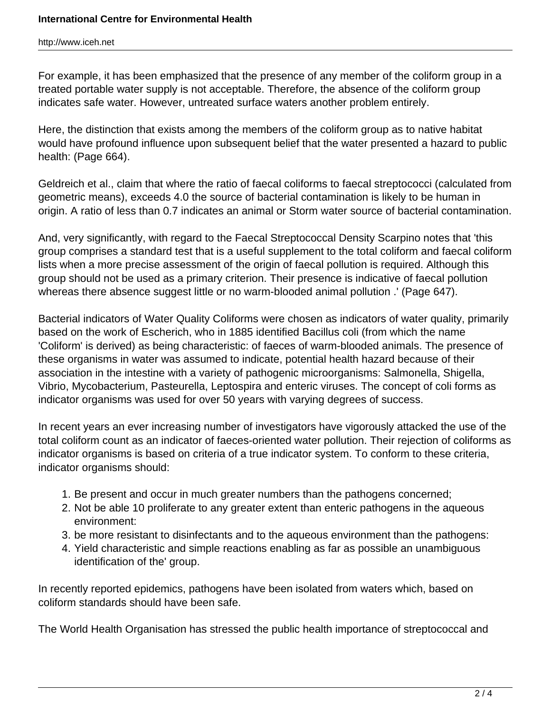For example, it has been emphasized that the presence of any member of the coliform group in a treated portable water supply is not acceptable. Therefore, the absence of the coliform group indicates safe water. However, untreated surface waters another problem entirely.

Here, the distinction that exists among the members of the coliform group as to native habitat would have profound influence upon subsequent belief that the water presented a hazard to public health: (Page 664).

Geldreich et al., claim that where the ratio of faecal coliforms to faecal streptococci (calculated from geometric means), exceeds 4.0 the source of bacterial contamination is likely to be human in origin. A ratio of less than 0.7 indicates an animal or Storm water source of bacterial contamination.

And, very significantly, with regard to the Faecal Streptococcal Density Scarpino notes that 'this group comprises a standard test that is a useful supplement to the total coliform and faecal coliform lists when a more precise assessment of the origin of faecal pollution is required. Although this group should not be used as a primary criterion. Their presence is indicative of faecal pollution whereas there absence suggest little or no warm-blooded animal pollution .' (Page 647).

Bacterial indicators of Water Quality Coliforms were chosen as indicators of water quality, primarily based on the work of Escherich, who in 1885 identified Bacillus coli (from which the name 'Coliform' is derived) as being characteristic: of faeces of warm-blooded animals. The presence of these organisms in water was assumed to indicate, potential health hazard because of their association in the intestine with a variety of pathogenic microorganisms: Salmonella, Shigella, Vibrio, Mycobacterium, Pasteurella, Leptospira and enteric viruses. The concept of coli forms as indicator organisms was used for over 50 years with varying degrees of success.

In recent years an ever increasing number of investigators have vigorously attacked the use of the total coliform count as an indicator of faeces-oriented water pollution. Their rejection of coliforms as indicator organisms is based on criteria of a true indicator system. To conform to these criteria, indicator organisms should:

- 1. Be present and occur in much greater numbers than the pathogens concerned;
- 2. Not be able 10 proliferate to any greater extent than enteric pathogens in the aqueous environment:
- 3. be more resistant to disinfectants and to the aqueous environment than the pathogens:
- 4. Yield characteristic and simple reactions enabling as far as possible an unambiguous identification of the' group.

In recently reported epidemics, pathogens have been isolated from waters which, based on coliform standards should have been safe.

The World Health Organisation has stressed the public health importance of streptococcal and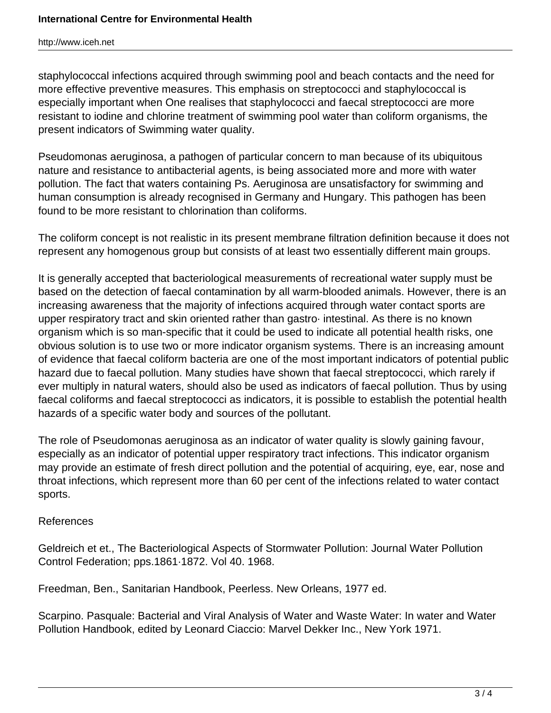staphylococcal infections acquired through swimming pool and beach contacts and the need for more effective preventive measures. This emphasis on streptococci and staphylococcal is especially important when One realises that staphylococci and faecal streptococci are more resistant to iodine and chlorine treatment of swimming pool water than coliform organisms, the present indicators of Swimming water quality.

Pseudomonas aeruginosa, a pathogen of particular concern to man because of its ubiquitous nature and resistance to antibacterial agents, is being associated more and more with water pollution. The fact that waters containing Ps. Aeruginosa are unsatisfactory for swimming and human consumption is already recognised in Germany and Hungary. This pathogen has been found to be more resistant to chlorination than coliforms.

The coliform concept is not realistic in its present membrane filtration definition because it does not represent any homogenous group but consists of at least two essentially different main groups.

It is generally accepted that bacteriological measurements of recreational water supply must be based on the detection of faecal contamination by all warm-blooded animals. However, there is an increasing awareness that the majority of infections acquired through water contact sports are upper respiratory tract and skin oriented rather than gastro· intestinal. As there is no known organism which is so man-specific that it could be used to indicate all potential health risks, one obvious solution is to use two or more indicator organism systems. There is an increasing amount of evidence that faecal coliform bacteria are one of the most important indicators of potential public hazard due to faecal pollution. Many studies have shown that faecal streptococci, which rarely if ever multiply in natural waters, should also be used as indicators of faecal pollution. Thus by using faecal coliforms and faecal streptococci as indicators, it is possible to establish the potential health hazards of a specific water body and sources of the pollutant.

The role of Pseudomonas aeruginosa as an indicator of water quality is slowly gaining favour, especially as an indicator of potential upper respiratory tract infections. This indicator organism may provide an estimate of fresh direct pollution and the potential of acquiring, eye, ear, nose and throat infections, which represent more than 60 per cent of the infections related to water contact sports.

## References

Geldreich et et., The Bacteriological Aspects of Stormwater Pollution: Journal Water Pollution Control Federation; pps.1861·1872. Vol 40. 1968.

Freedman, Ben., Sanitarian Handbook, Peerless. New Orleans, 1977 ed.

Scarpino. Pasquale: Bacterial and Viral Analysis of Water and Waste Water: In water and Water Pollution Handbook, edited by Leonard Ciaccio: Marvel Dekker Inc., New York 1971.